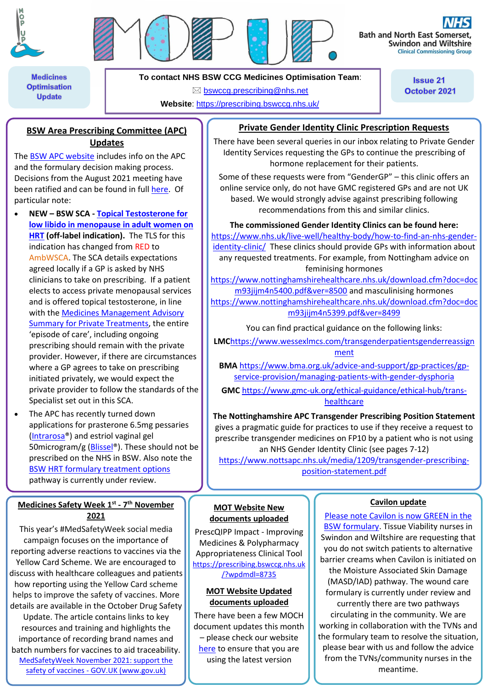



**Bath and North East Somer Swindon and Wiltshire Clinical Commissioning Group** 

**Medicines Optimisation Update** 

**To contact NHS BSW CCG Medicines Optimisation Team**:

bswccg.prescribing@nhs.net

**Website**: https://prescribing.bswccg.nhs.uk/

**Issue 21** October 2021

## **BSW Area Prescribing Committee (APC) Updates**

The **BSW APC website** includes info on the APC and the formulary decision making process. Decisions from the August 2021 meeting have been ratified and can be found in full here. Of particular note:

- **NEW – BSW SCA - Topical Testosterone for low libido in menopause in adult women on HRT (off-label indication).** The TLS for this indication has changed from RED to AmbWSCA. The SCA details expectations agreed locally if a GP is asked by NHS clinicians to take on prescribing. If a patient elects to access private menopausal services and is offered topical testosterone, in line with the Medicines Management Advisory Summary for Private Treatments, the entire 'episode of care', including ongoing prescribing should remain with the private provider. However, if there are circumstances where a GP agrees to take on prescribing initiated privately, we would expect the private provider to follow the standards of the Specialist set out in this SCA.
- The APC has recently turned down applications for prasterone 6.5mg pessaries (Intrarosa®) and estriol vaginal gel 50microgram/g (Blissel®). These should not be prescribed on the NHS in BSW. Also note the BSW HRT formulary treatment options pathway is currently under review.

### **Medicines Safety Week 1 st - 7 th November 2021**

This year's #MedSafetyWeek social media campaign focuses on the importance of reporting adverse reactions to vaccines via the Yellow Card Scheme. We are encouraged to discuss with healthcare colleagues and patients how reporting using the Yellow Card scheme helps to improve the safety of vaccines. More details are available in the October Drug Safety Update. The article contains links to key resources and training and highlights the importance of recording brand names and batch numbers for vaccines to aid traceability. MedSafetyWeek November 2021: support the safety of vaccines - GOV.UK (www.gov.uk)

# **Private Gender Identity Clinic Prescription Requests**

There have been several queries in our inbox relating to Private Gender Identity Services requesting the GPs to continue the prescribing of hormone replacement for their patients.

Some of these requests were from "GenderGP" – this clinic offers an online service only, do not have GMC registered GPs and are not UK based. We would strongly advise against prescribing following recommendations from this and similar clinics.

**The commissioned Gender Identity Clinics can be found here:**

https://www.nhs.uk/live-well/healthy-body/how-to-find-an-nhs-genderidentity-clinic/ These clinics should provide GPs with information about any requested treatments. For example, from Nottingham advice on feminising hormones

https://www.nottinghamshirehealthcare.nhs.uk/download.cfm?doc=doc m93jijm4n5400.pdf&ver=8500 and masculinising hormones https://www.nottinghamshirehealthcare.nhs.uk/download.cfm?doc=doc m93jijm4n5399.pdf&ver=8499

You can find practical guidance on the following links:

**LMC**https://www.wessexlmcs.com/transgenderpatientsgenderreassign ment

**BMA** https://www.bma.org.uk/advice-and-support/gp-practices/gpservice-provision/managing-patients-with-gender-dysphoria

**GMC** https://www.gmc-uk.org/ethical-guidance/ethical-hub/transhealthcare

**The Nottinghamshire APC Transgender Prescribing Position Statement** gives a pragmatic guide for practices to use if they receive a request to prescribe transgender medicines on FP10 by a patient who is not using an NHS Gender Identity Clinic (see pages 7-12) https://www.nottsapc.nhs.uk/media/1209/transgender-prescribing-

position-statement.pdf

### **Cavilon update**

Please note Cavilon is now GREEN in the BSW formulary. Tissue Viability nurses in Swindon and Wiltshire are requesting that you do not switch patients to alternative barrier creams when Cavilon is initiated on the Moisture Associated Skin Damage (MASD/IAD) pathway. The wound care formulary is currently under review and currently there are two pathways circulating in the community. We are working in collaboration with the TVNs and the formulary team to resolve the situation, please bear with us and follow the advice from the TVNs/community nurses in the meantime.

#### **MOT Website New documents uploaded**

PrescQIPP Impact - Improving Medicines & Polypharmacy Appropriateness Clinical Tool https://prescribing.bswccg.nhs.uk /?wpdmdl=8735

#### **MOT Website Updated documents uploaded**

There have been a few MOCH document updates this month – please check our website here to ensure that you are using the latest version